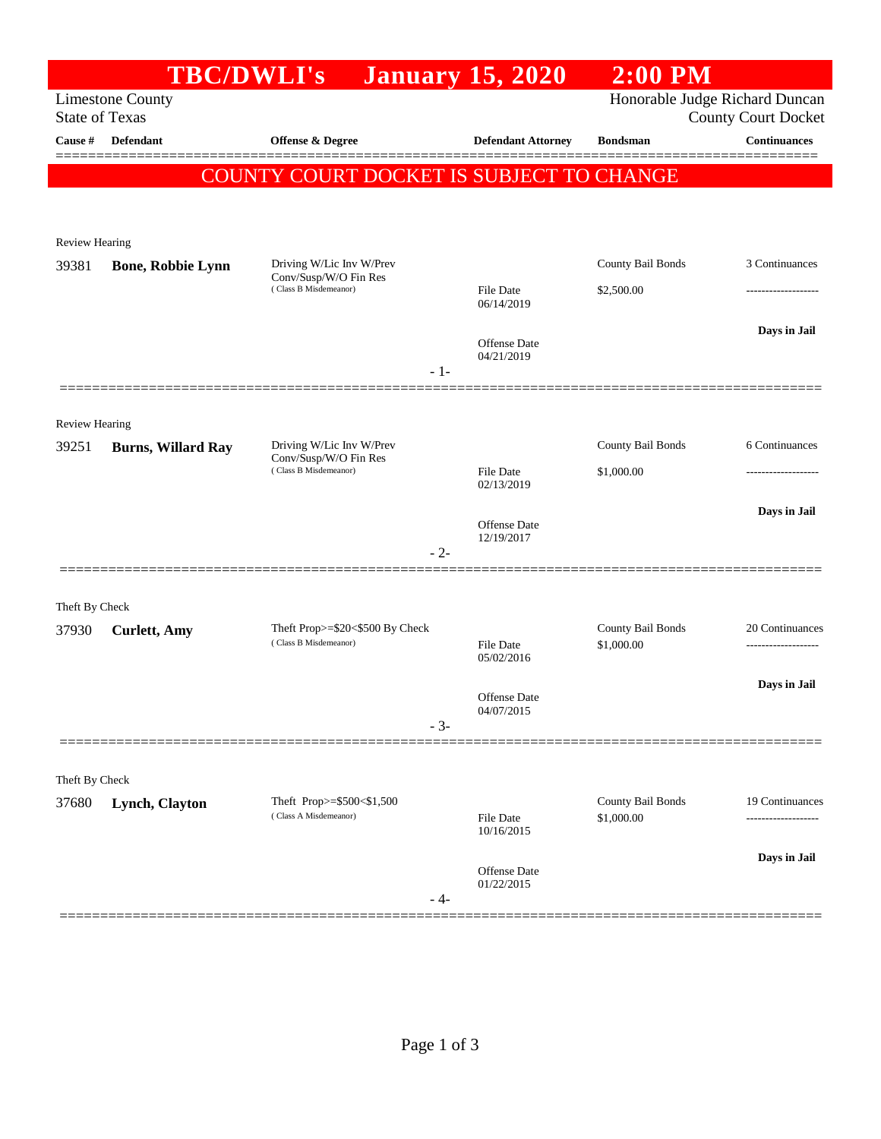|                         | <b>TBC/DWLI's</b>                                |                                                                            | <b>January 15, 2020</b>    | $2:00$ PM                       |                     |
|-------------------------|--------------------------------------------------|----------------------------------------------------------------------------|----------------------------|---------------------------------|---------------------|
|                         | <b>Limestone County</b><br><b>State of Texas</b> | Honorable Judge Richard Duncan<br><b>County Court Docket</b>               |                            |                                 |                     |
| Cause #                 | Defendant                                        | Offense & Degree                                                           | <b>Defendant Attorney</b>  | <b>Bondsman</b>                 | <b>Continuances</b> |
|                         |                                                  | COUNTY COURT DOCKET IS SUBJECT TO CHANGE                                   |                            |                                 |                     |
|                         |                                                  |                                                                            |                            |                                 |                     |
| Review Hearing          |                                                  |                                                                            |                            |                                 |                     |
| 39381                   | <b>Bone, Robbie Lynn</b>                         | Driving W/Lic Inv W/Prev<br>Conv/Susp/W/O Fin Res<br>(Class B Misdemeanor) |                            | County Bail Bonds               | 3 Continuances      |
|                         |                                                  |                                                                            | File Date<br>06/14/2019    | \$2,500.00                      |                     |
|                         |                                                  |                                                                            |                            |                                 | Days in Jail        |
|                         |                                                  |                                                                            | Offense Date<br>04/21/2019 |                                 |                     |
|                         |                                                  | $-1-$                                                                      |                            |                                 |                     |
| Review Hearing          |                                                  |                                                                            |                            |                                 |                     |
| 39251                   | <b>Burns, Willard Ray</b>                        | Driving W/Lic Inv W/Prev<br>Conv/Susp/W/O Fin Res<br>(Class B Misdemeanor) |                            | County Bail Bonds               | 6 Continuances      |
|                         |                                                  |                                                                            | File Date                  | \$1,000.00                      |                     |
|                         |                                                  |                                                                            | 02/13/2019                 |                                 |                     |
|                         |                                                  |                                                                            | Offense Date<br>12/19/2017 |                                 | Days in Jail        |
|                         |                                                  | $-2-$                                                                      |                            |                                 |                     |
|                         |                                                  |                                                                            |                            |                                 |                     |
| Theft By Check<br>37930 |                                                  | Theft Prop>=\$20<\$500 By Check                                            |                            | County Bail Bonds               | 20 Continuances     |
|                         | <b>Curlett</b> , Amy                             | (Class B Misdemeanor)                                                      | File Date<br>05/02/2016    | \$1,000.00                      |                     |
|                         |                                                  |                                                                            |                            |                                 | Days in Jail        |
|                         |                                                  |                                                                            | Offense Date<br>04/07/2015 |                                 |                     |
|                         |                                                  | $-3-$                                                                      |                            |                                 |                     |
|                         |                                                  |                                                                            |                            |                                 |                     |
| Theft By Check          |                                                  |                                                                            |                            |                                 | 19 Continuances     |
| 37680                   | Lynch, Clayton                                   | Theft Prop>=\$500<\$1,500<br>(Class A Misdemeanor)                         | File Date<br>10/16/2015    | County Bail Bonds<br>\$1,000.00 |                     |
|                         |                                                  |                                                                            | Offense Date               |                                 | Days in Jail        |
|                         |                                                  | $-4-$                                                                      | 01/22/2015                 |                                 |                     |
|                         |                                                  |                                                                            |                            |                                 |                     |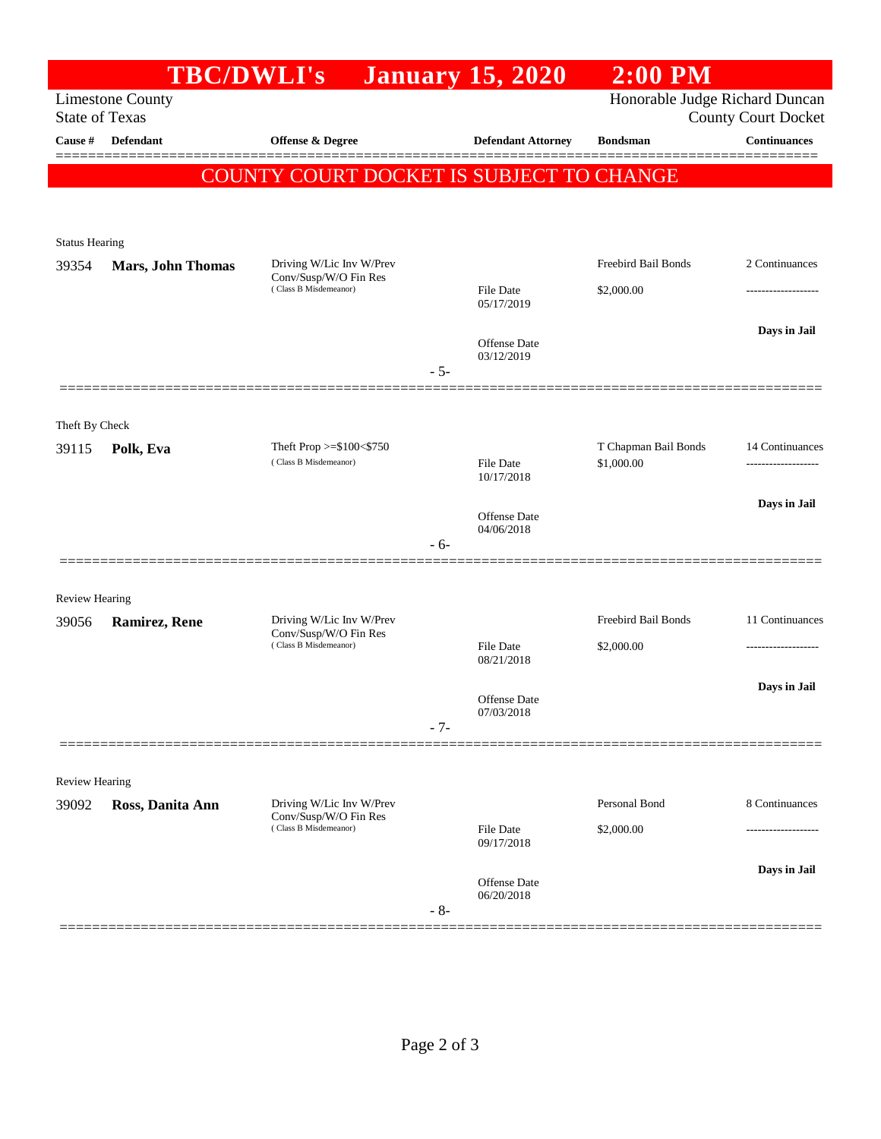|                                                  | <b>TBC/DWLI's</b>        |                                                                            |       | <b>January 15, 2020</b>    | $2:00$ PM                                                    |                     |
|--------------------------------------------------|--------------------------|----------------------------------------------------------------------------|-------|----------------------------|--------------------------------------------------------------|---------------------|
| <b>Limestone County</b><br><b>State of Texas</b> |                          |                                                                            |       |                            | Honorable Judge Richard Duncan<br><b>County Court Docket</b> |                     |
| Cause #                                          | Defendant                | Offense & Degree                                                           |       | <b>Defendant Attorney</b>  | <b>Bondsman</b>                                              | <b>Continuances</b> |
|                                                  |                          |                                                                            |       |                            |                                                              |                     |
|                                                  |                          | COUNTY COURT DOCKET IS SUBJECT TO CHANGE                                   |       |                            |                                                              |                     |
|                                                  |                          |                                                                            |       |                            |                                                              |                     |
| <b>Status Hearing</b>                            |                          |                                                                            |       |                            |                                                              |                     |
| 39354                                            | <b>Mars, John Thomas</b> | Driving W/Lic Inv W/Prev<br>Conv/Susp/W/O Fin Res<br>(Class B Misdemeanor) |       |                            | Freebird Bail Bonds                                          | 2 Continuances      |
|                                                  |                          |                                                                            |       | File Date<br>05/17/2019    | \$2,000.00                                                   |                     |
|                                                  |                          |                                                                            |       |                            |                                                              | Days in Jail        |
|                                                  |                          |                                                                            |       | Offense Date<br>03/12/2019 |                                                              |                     |
|                                                  |                          |                                                                            | $-5-$ |                            |                                                              |                     |
|                                                  |                          |                                                                            |       |                            |                                                              |                     |
| Theft By Check                                   |                          |                                                                            |       |                            |                                                              |                     |
| 39115                                            | Polk, Eva                | Theft Prop $>=$ \$100 $<$ \$750<br>(Class B Misdemeanor)                   |       | File Date                  | T Chapman Bail Bonds<br>\$1,000.00                           | 14 Continuances     |
|                                                  |                          |                                                                            |       | 10/17/2018                 |                                                              |                     |
|                                                  |                          |                                                                            |       | Offense Date               |                                                              | Days in Jail        |
|                                                  |                          |                                                                            | $-6-$ | 04/06/2018                 |                                                              |                     |
|                                                  |                          |                                                                            |       |                            |                                                              |                     |
| <b>Review Hearing</b>                            |                          |                                                                            |       |                            |                                                              |                     |
| 39056                                            | <b>Ramirez, Rene</b>     | Driving W/Lic Inv W/Prev<br>Conv/Susp/W/O Fin Res<br>(Class B Misdemeanor) |       |                            | Freebird Bail Bonds                                          | 11 Continuances     |
|                                                  |                          |                                                                            |       | File Date<br>08/21/2018    | \$2,000.00                                                   | .                   |
|                                                  |                          |                                                                            |       |                            |                                                              | Days in Jail        |
|                                                  |                          |                                                                            |       | Offense Date<br>07/03/2018 |                                                              |                     |
|                                                  |                          |                                                                            | $-7-$ |                            |                                                              |                     |
|                                                  |                          |                                                                            |       |                            |                                                              |                     |
| <b>Review Hearing</b>                            |                          |                                                                            |       |                            |                                                              |                     |
| 39092                                            | Ross, Danita Ann         | Driving W/Lic Inv W/Prev<br>Conv/Susp/W/O Fin Res<br>(Class B Misdemeanor) |       |                            | Personal Bond                                                | 8 Continuances      |
|                                                  |                          |                                                                            |       | File Date<br>09/17/2018    | \$2,000.00                                                   | -------------       |
|                                                  |                          |                                                                            |       |                            |                                                              | Days in Jail        |
|                                                  |                          |                                                                            |       | Offense Date<br>06/20/2018 |                                                              |                     |
|                                                  |                          |                                                                            | $-8-$ |                            |                                                              |                     |